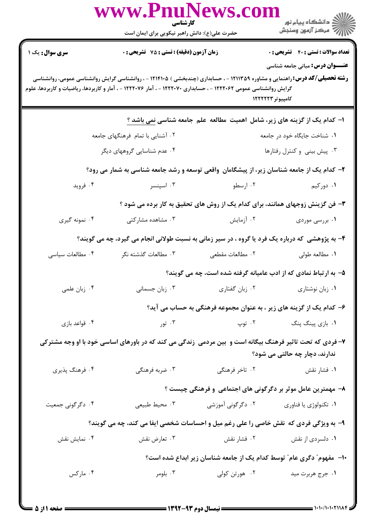|                                                                                      | www.PnuNews.co<br>کارشناسی<br>حضرت علی(ع): دانش راهبر نیکویی برای ایمان است                                                                                                                                                                                                                                            |                                                                           | ر دانشڪاه پيام نور<br>اڳ مرڪز آزمون وسنڊش                                     |  |
|--------------------------------------------------------------------------------------|------------------------------------------------------------------------------------------------------------------------------------------------------------------------------------------------------------------------------------------------------------------------------------------------------------------------|---------------------------------------------------------------------------|-------------------------------------------------------------------------------|--|
| سری سوال : یک ۱                                                                      | <b>زمان آزمون (دقیقه) : تستی : 75 تشریحی : 0</b>                                                                                                                                                                                                                                                                       |                                                                           | <b>تعداد سوالات : تستی : 40 - تشریحی : 0</b>                                  |  |
|                                                                                      | <b>عنـــوان درس:</b> مبانی جامعه شناسی<br><b>رشته تحصیلی/کد درس: ر</b> اهنمایی و مشاوره ۱۲۱۱۳۵۹ - ، حسابداری (چندبخشی ) ۱۲۱۴۱۰۵ - ، روانشناسی گرایش روانشناسی عمومی، روانشناسی<br>گرایش روانشناسی عمومی ۱۲۲۲۰۶۲ - ، حسابداری ۱۲۲۲۰۷۰ - ، آمار ۱۲۲۲۰۷۶ - ، آمار و کاربردها، ریاضیات و کاربردها، علوم<br>کامپیوتر ۱۲۲۲۲۳ |                                                                           |                                                                               |  |
|                                                                                      |                                                                                                                                                                                                                                                                                                                        | ا- كدام یک از گزینه های زیر، شامل اهمیت مطالعه علم جامعه شناسی نمی باشد ؟ |                                                                               |  |
|                                                                                      | ۰۲ آشنایی با تمام فرهنگهای جامعه                                                                                                                                                                                                                                                                                       |                                                                           | ۰۱ شناخت جایگاه خود در جامعه                                                  |  |
|                                                                                      | ۰۴ عدم شناسایی گروههای دیگر                                                                                                                                                                                                                                                                                            | ۰۳ پیش بینی و کنترل رفتارها                                               |                                                                               |  |
|                                                                                      | ۲- کدام یک از جامعه شناسان زیر، از پیشگامان واقعی توسعه و رشد جامعه شناسی به شمار می رود؟                                                                                                                                                                                                                              |                                                                           |                                                                               |  |
| ۰۴ فروید                                                                             | ۰۳ اسپنسر                                                                                                                                                                                                                                                                                                              | ۰۲ ارسطو                                                                  | ۰۱ دورکیم                                                                     |  |
|                                                                                      |                                                                                                                                                                                                                                                                                                                        |                                                                           | ۳- فن گزینش زوجهای همانند، برای کدام یک از روش های تحقیق به کار برده می شود ؟ |  |
| ۰۴ نمونه گیری                                                                        | ۰۳ مشاهده مشارکتی                                                                                                                                                                                                                                                                                                      | ۰۲ آزمایش                                                                 | ۰۱ بررسی موردی                                                                |  |
|                                                                                      | ۴- به پژوهشی که درباره یک فرد یا گروه ، در سیر زمانی به نسبت طولانی انجام می گیرد، چه می گویند؟                                                                                                                                                                                                                        |                                                                           |                                                                               |  |
| ۰۴ مطالعات سیاسی                                                                     | ۰۳ مطالعات گذشته نگر                                                                                                                                                                                                                                                                                                   | ٢. مطالعات مقطعى                                                          | ۰۱ مطالعه طولی                                                                |  |
|                                                                                      |                                                                                                                                                                                                                                                                                                                        | ۵- به ارتباط نمادی که از ادب عامیانه گرفته شده است، چه می گویند؟          |                                                                               |  |
| ۰۴ زبان علمی                                                                         | ۰۳ زبان جسمانی                                                                                                                                                                                                                                                                                                         | ۰۲ زبان گفتاری                                                            | ۰۱ زبان نوشتاری                                                               |  |
|                                                                                      |                                                                                                                                                                                                                                                                                                                        |                                                                           | ۶– کدام یک از گزینه های زیر ، به عنوان مجموعه فرهنگی به حساب می آید؟          |  |
| ۰۴ قواعد بازي                                                                        |                                                                                                                                                                                                                                                                                                                        | ۲. توپ هغه استان کا مختلف تور                                             | ۰۱ بازی پینگ پنگ                                                              |  |
|                                                                                      | ۷- فردی که تحت تاثیر فرهنگ بیگانه است و بین مردمی زندگی می کند که در باورهای اساسی خود با او وجه مشترکی                                                                                                                                                                                                                |                                                                           | ندارند، دچار چه حالتی می شود؟                                                 |  |
| ۰۴ فرهنگ پذیری                                                                       | ۰۳ ضربه فرهنگی                                                                                                                                                                                                                                                                                                         | ۲. تاخر فرهنگی                                                            | ۰۱ فشار نقش                                                                   |  |
|                                                                                      |                                                                                                                                                                                                                                                                                                                        |                                                                           | ۸– مهمترین عامل موثر بر دگرگونی های اجتماعی و فرهنگی چیست ؟                   |  |
| ۰۴ دگرگونی جمعیت                                                                     | ۰۳ محيط طبيعي                                                                                                                                                                                                                                                                                                          | ۰۲ دگرگونی آموزشی                                                         | ۰۱ تکنولوژی یا فناوری                                                         |  |
| ۹- به ویژگی فردی که نقش خاصی را علی رغم میل و احساسات شخصی ایفا می کند، چه می گویند؟ |                                                                                                                                                                                                                                                                                                                        |                                                                           |                                                                               |  |
| ۰۴ نمایش نقش                                                                         | ۰۳ تعارض نقش                                                                                                                                                                                                                                                                                                           | ۰۲ فشار نقش                                                               | ۰۱ دلسردی از نقش                                                              |  |
| ∙۱- ً مفهوم ؒ دگری عام ؒ توسط کدام یک از جامعه شناسان زیر ابداع شده است؟             |                                                                                                                                                                                                                                                                                                                        |                                                                           |                                                                               |  |
| ۰۴ مارکس                                                                             | ۰۳ بلومر                                                                                                                                                                                                                                                                                                               | ۰۲ هورتن کولی                                                             | ۰۱ جرج هربرت مید                                                              |  |

 $: 1.1.11.1.7111$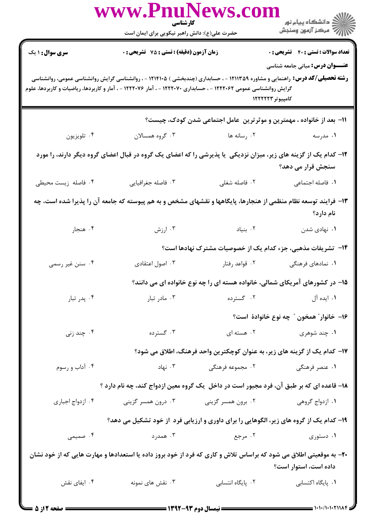|                                                                                                                                                                                                                                                                                                                        | www.PnuNews.co<br>کارشناسی                    |                                                   | الأرد دانشگاه پيام نور<br>الأراض مرکز آزمون وسنجش                                                                           |  |
|------------------------------------------------------------------------------------------------------------------------------------------------------------------------------------------------------------------------------------------------------------------------------------------------------------------------|-----------------------------------------------|---------------------------------------------------|-----------------------------------------------------------------------------------------------------------------------------|--|
|                                                                                                                                                                                                                                                                                                                        | حضرت علی(ع): دانش راهبر نیکویی برای ایمان است |                                                   |                                                                                                                             |  |
| <b>سری سوال : ۱ یک</b>                                                                                                                                                                                                                                                                                                 | زمان آزمون (دقیقه) : تستی : 75 گشریحی : 0     |                                                   | <b>تعداد سوالات : تستی : 40 قشریحی : 0</b>                                                                                  |  |
| <b>عنــــوان درس:</b> مبانی جامعه شناسی<br><b>رشته تحصیلی/کد درس:</b> راهنمایی و مشاوره ۱۲۱۱۳۵۹ - ، حسابداری (چندبخشی ) ۱۲۱۴۱۰۵ - ، روانشناسی گرایش روانشناسی عمومی، روانشناسی<br>گرایش روانشناسی عمومی ۱۲۲۲۰۶۲ - ، حسابداری ۱۲۲۲۰۷۰ - ، آمار ۱۲۲۲۰۷۶ - ، آمار و کاربردها، ریاضیات و کاربردها، علوم<br>کامپیوتر ۱۲۲۲۲۳ |                                               |                                                   |                                                                                                                             |  |
|                                                                                                                                                                                                                                                                                                                        |                                               |                                                   | 11- بعد از خانواده ، مهمترین و موثرترین عامل اجتماعی شدن کودک، چیست؟                                                        |  |
| ۰۴ تلويزيون                                                                                                                                                                                                                                                                                                            | ۰۳ گروه همسالان                               | ۰۲ رسانه ها                                       | ۰۱ مدرسه                                                                                                                    |  |
| ۱۲– کدام یک از گزینه های زیر، میزان نزدیکی ً یا پذیرشی را که اعضای یک گروه در قبال اعضای گروه دیگر دارند، را مورد<br>سنجش قرار می دهد؟                                                                                                                                                                                 |                                               |                                                   |                                                                                                                             |  |
| ۰۴ فاصله زیست محیطی                                                                                                                                                                                                                                                                                                    | ۰۳ فاصله جغرافيايي                            | ٠٢ فاصله شغلي                                     | <b>۱.</b> فاصله اجتماعی                                                                                                     |  |
|                                                                                                                                                                                                                                                                                                                        |                                               |                                                   | ۱۳- فرایند توسعه نظام منظمی از هنجارها، پایگاهها و نقشهای مشخص و به هم پیوسته که جامعه آن را پذیرا شده است، چه<br>نام دارد؟ |  |
| ۰۴ هنجار                                                                                                                                                                                                                                                                                                               | ۰۳ ارزش                                       | ۰۲ بنیاد                                          | ۰۱ نهادی شدن                                                                                                                |  |
|                                                                                                                                                                                                                                                                                                                        |                                               |                                                   | ۱۴– تشریفات مذهبی، جزء کدام یک از خصوصیات مشترک نهادها است؟                                                                 |  |
| ۰۴ سنن غیر رسمی                                                                                                                                                                                                                                                                                                        | ۰۳ اصول اعتقادی                               | ۰۲ قواعد رفتار                                    | ۰۱ نمادهای فرهنگی                                                                                                           |  |
|                                                                                                                                                                                                                                                                                                                        |                                               |                                                   | <b>۱۵</b> - در کشورهای آمریکای شمالی، خانواده هسته ای را چه نوع خانواده ای می دانند؟                                        |  |
| ۰۴ پدر تبار                                                                                                                                                                                                                                                                                                            | ۰۳ مادر تبار                                  |                                                   | ۰۱ ایده آل مسترده                                                                                                           |  |
|                                                                                                                                                                                                                                                                                                                        |                                               |                                                   | ۱۶– خانوار ؒ همخون ؒ چه نوع خانوادهٔ است؟                                                                                   |  |
| ۰۴ چند زنی                                                                                                                                                                                                                                                                                                             | ۰۳ گسترده                                     | ۰۲ هسته ای                                        | ۰۱ چند شوهری                                                                                                                |  |
|                                                                                                                                                                                                                                                                                                                        |                                               |                                                   | ۱۷– کدام یک از گزینه های زیر، به عنوان کوچکترین واحد فرهنگ، اطلاق می شود؟                                                   |  |
| ۰۴ آداب و رسوم                                                                                                                                                                                                                                                                                                         | ۰۳ نهاد                                       |                                                   |                                                                                                                             |  |
|                                                                                                                                                                                                                                                                                                                        |                                               |                                                   | ۱۸– قاعده ای که بر طبق آن، فرد مجبور است در داخل یک گروه معین ازدواج کند، چه نام دارد ؟                                     |  |
| ۰۴ ازدواج اجباری                                                                                                                                                                                                                                                                                                       | ۰۳ درون همسر گزینی                            | ۰۱ ازدواج گروهی مسر گزینی (۲۰۰۰ میلادی از سال ۱۰۲ |                                                                                                                             |  |
| ۱۹- کدام یک از گروه های زیر، الگوهایی را برای داوری و ارزیابی فرد از خود تشکیل می دهد؟                                                                                                                                                                                                                                 |                                               |                                                   |                                                                                                                             |  |
| ۰۴ صمیمی                                                                                                                                                                                                                                                                                                               | ۰۳ همدرد                                      | ۲. مرجع                                           | ۰۱ دستوری                                                                                                                   |  |
| +۲- به موقعیتی اطلاق می شود که براساس تلاش و کاری که فرد از خود بروز داده یا استعدادها و مهارت هایی که از خود نشان<br>داده است، استوار است؟                                                                                                                                                                            |                                               |                                                   |                                                                                                                             |  |
| ۰۴ ایفای نقش                                                                                                                                                                                                                                                                                                           | ۰۳ نقش های نمونه                              | ۰۲ پایگاه انتساب <i>ی</i>                         | ٠١. پایگاه اکتسابی                                                                                                          |  |
|                                                                                                                                                                                                                                                                                                                        |                                               |                                                   |                                                                                                                             |  |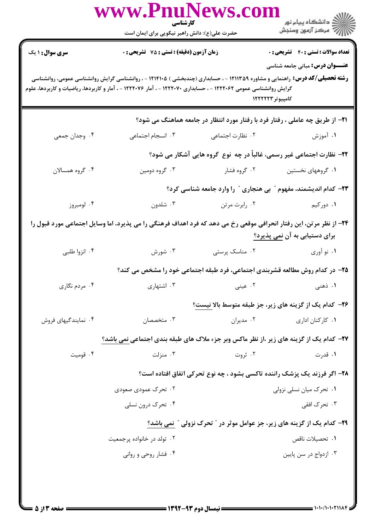| حضرت علی(ع): دانش راهبر نیکویی برای ایمان است<br><b>سری سوال :</b> ۱ یک<br><b>تعداد سوالات : تستی : 40 ٪ تشریحی : 0</b><br>زمان آزمون (دقیقه) : تستی : 75 تشریحی : 0<br><b>عنـــوان درس:</b> مبانی جامعه شناسی<br><b>رشته تحصیلی/کد درس:</b> راهنمایی و مشاوره ۱۲۱۱۳۵۹ - ، حسابداری (چندبخشی ) ۱۲۱۴۱۰۵ - ، روانشناسی گرایش روانشناسی عمومی، روانشناسی<br>گرایش روانشناسی عمومی ۱۲۲۲۰۶۲ - ، حسابداری ۱۲۲۲۰۷۰ - ، آمار ۱۲۲۲۰۷۶ - ، آمار و کاربردها، ریاضیات و کاربردها، علوم<br>کامپیوتر ۱۲۲۲۲۳<br><b>۲۱</b> - از طریق چه عاملی ، رفتار فرد با رفتار مورد انتظار در جامعه هماهنگ می شود؟<br>۰۴ وجدان جمعي<br>۰۳ انسجام اجتماعی<br>۰۲ نظارت اجتماعی<br>۰۱ آموزش<br>۲۲- نظارت اجتماعی غیر رسمی، غالباً در چه نوع گروه هایی آشکار می شود؟<br>۰۴ گروه همسالان<br>۰۳ گروه دومين<br>۰۱ گروههای نخستین مسلم ۲۰۲ گروه فشار<br>۲۳- کدام اندیشمند، مفهوم " بی هنجاری " را وارد جامعه شناسی کرد؟<br>۰۴ لومبروز<br>۰۳ شلدون<br>۰۱ دورکیم<br>۰۲ رابرت مرتن<br>۲۴- از نظر مرتن، این رفتار انحرافی موقعی رخ می دهد که فرد اهداف فرهنگی را می پذیرد، اما وسایل اجتماعی مورد قبول را<br>برای دستیابی به آن نمی پذیرد؟<br>۰۳ شورش<br>۰۴ انزوا طلبی<br>٠٢ مناسک پرستی<br>۰۱ نو آوري<br>۲۵- در کدام روش مطالعه قشربندی اجتماعی، فرد طبقه اجتماعی خود را مشخص می کند؟<br>۰۴ مردم نگاری<br>۰۳ اشتهاری<br>۰۲ عینی<br>۱. ذهنی<br><b>۲۶</b> - کدام یک از گزینه های زیر، جز طبقه متوسط بالا <u>نیست</u> ؟<br>۰۴ نمایندگیهای فروش<br>۰۳ متخصصان<br>۰۲ مدیران<br>۰۱ کارکنان اداری<br>۲۷- کدام یک از گزینه های زیر ،از نظر ماکس وبر جزء ملاک های طبقه بندی اجتماعی نمی باشد؟<br>۰۴ قومیت<br>۰۳ منزلت<br>۰۲ ثروت<br>۰۱ قدرت<br>۲۸- اگر فرزند یک پزشک راننده تاکسی بشود ، چه نوع تحرکی اتفاق افتاده است؟<br>۰۱ تحرک میان نسلی نزولی<br>۲. تحرک عمودی صعودی<br>۰۳ تحرک افقی<br>۰۴ تحرک درون نسلی<br><b>۲۹</b> - کدام یک از گزینه های زیر، جز عوامل موثر در " تحرک نزولی " نمی باشد؟<br>۰۲ تولد در خانواده پرجمعیت<br>٠١. تحصيلات ناقص<br>۰۴ فشار روحی و روانی<br>۰۳ ازدواج در سن پایین |  | www.PnuNews.col<br>كارشناسي |  | الاد دانشگاه پيام نور<br>الا |
|------------------------------------------------------------------------------------------------------------------------------------------------------------------------------------------------------------------------------------------------------------------------------------------------------------------------------------------------------------------------------------------------------------------------------------------------------------------------------------------------------------------------------------------------------------------------------------------------------------------------------------------------------------------------------------------------------------------------------------------------------------------------------------------------------------------------------------------------------------------------------------------------------------------------------------------------------------------------------------------------------------------------------------------------------------------------------------------------------------------------------------------------------------------------------------------------------------------------------------------------------------------------------------------------------------------------------------------------------------------------------------------------------------------------------------------------------------------------------------------------------------------------------------------------------------------------------------------------------------------------------------------------------------------------------------------------------------------------------------------------------------------------------------------------------------------------------------------------------------------------------------------------------------------------------------------------------|--|-----------------------------|--|------------------------------|
|                                                                                                                                                                                                                                                                                                                                                                                                                                                                                                                                                                                                                                                                                                                                                                                                                                                                                                                                                                                                                                                                                                                                                                                                                                                                                                                                                                                                                                                                                                                                                                                                                                                                                                                                                                                                                                                                                                                                                      |  |                             |  |                              |
|                                                                                                                                                                                                                                                                                                                                                                                                                                                                                                                                                                                                                                                                                                                                                                                                                                                                                                                                                                                                                                                                                                                                                                                                                                                                                                                                                                                                                                                                                                                                                                                                                                                                                                                                                                                                                                                                                                                                                      |  |                             |  |                              |
|                                                                                                                                                                                                                                                                                                                                                                                                                                                                                                                                                                                                                                                                                                                                                                                                                                                                                                                                                                                                                                                                                                                                                                                                                                                                                                                                                                                                                                                                                                                                                                                                                                                                                                                                                                                                                                                                                                                                                      |  |                             |  |                              |
|                                                                                                                                                                                                                                                                                                                                                                                                                                                                                                                                                                                                                                                                                                                                                                                                                                                                                                                                                                                                                                                                                                                                                                                                                                                                                                                                                                                                                                                                                                                                                                                                                                                                                                                                                                                                                                                                                                                                                      |  |                             |  |                              |
|                                                                                                                                                                                                                                                                                                                                                                                                                                                                                                                                                                                                                                                                                                                                                                                                                                                                                                                                                                                                                                                                                                                                                                                                                                                                                                                                                                                                                                                                                                                                                                                                                                                                                                                                                                                                                                                                                                                                                      |  |                             |  |                              |
|                                                                                                                                                                                                                                                                                                                                                                                                                                                                                                                                                                                                                                                                                                                                                                                                                                                                                                                                                                                                                                                                                                                                                                                                                                                                                                                                                                                                                                                                                                                                                                                                                                                                                                                                                                                                                                                                                                                                                      |  |                             |  |                              |
|                                                                                                                                                                                                                                                                                                                                                                                                                                                                                                                                                                                                                                                                                                                                                                                                                                                                                                                                                                                                                                                                                                                                                                                                                                                                                                                                                                                                                                                                                                                                                                                                                                                                                                                                                                                                                                                                                                                                                      |  |                             |  |                              |
|                                                                                                                                                                                                                                                                                                                                                                                                                                                                                                                                                                                                                                                                                                                                                                                                                                                                                                                                                                                                                                                                                                                                                                                                                                                                                                                                                                                                                                                                                                                                                                                                                                                                                                                                                                                                                                                                                                                                                      |  |                             |  |                              |
|                                                                                                                                                                                                                                                                                                                                                                                                                                                                                                                                                                                                                                                                                                                                                                                                                                                                                                                                                                                                                                                                                                                                                                                                                                                                                                                                                                                                                                                                                                                                                                                                                                                                                                                                                                                                                                                                                                                                                      |  |                             |  |                              |
|                                                                                                                                                                                                                                                                                                                                                                                                                                                                                                                                                                                                                                                                                                                                                                                                                                                                                                                                                                                                                                                                                                                                                                                                                                                                                                                                                                                                                                                                                                                                                                                                                                                                                                                                                                                                                                                                                                                                                      |  |                             |  |                              |
|                                                                                                                                                                                                                                                                                                                                                                                                                                                                                                                                                                                                                                                                                                                                                                                                                                                                                                                                                                                                                                                                                                                                                                                                                                                                                                                                                                                                                                                                                                                                                                                                                                                                                                                                                                                                                                                                                                                                                      |  |                             |  |                              |
|                                                                                                                                                                                                                                                                                                                                                                                                                                                                                                                                                                                                                                                                                                                                                                                                                                                                                                                                                                                                                                                                                                                                                                                                                                                                                                                                                                                                                                                                                                                                                                                                                                                                                                                                                                                                                                                                                                                                                      |  |                             |  |                              |
|                                                                                                                                                                                                                                                                                                                                                                                                                                                                                                                                                                                                                                                                                                                                                                                                                                                                                                                                                                                                                                                                                                                                                                                                                                                                                                                                                                                                                                                                                                                                                                                                                                                                                                                                                                                                                                                                                                                                                      |  |                             |  |                              |
|                                                                                                                                                                                                                                                                                                                                                                                                                                                                                                                                                                                                                                                                                                                                                                                                                                                                                                                                                                                                                                                                                                                                                                                                                                                                                                                                                                                                                                                                                                                                                                                                                                                                                                                                                                                                                                                                                                                                                      |  |                             |  |                              |
|                                                                                                                                                                                                                                                                                                                                                                                                                                                                                                                                                                                                                                                                                                                                                                                                                                                                                                                                                                                                                                                                                                                                                                                                                                                                                                                                                                                                                                                                                                                                                                                                                                                                                                                                                                                                                                                                                                                                                      |  |                             |  |                              |
|                                                                                                                                                                                                                                                                                                                                                                                                                                                                                                                                                                                                                                                                                                                                                                                                                                                                                                                                                                                                                                                                                                                                                                                                                                                                                                                                                                                                                                                                                                                                                                                                                                                                                                                                                                                                                                                                                                                                                      |  |                             |  |                              |
|                                                                                                                                                                                                                                                                                                                                                                                                                                                                                                                                                                                                                                                                                                                                                                                                                                                                                                                                                                                                                                                                                                                                                                                                                                                                                                                                                                                                                                                                                                                                                                                                                                                                                                                                                                                                                                                                                                                                                      |  |                             |  |                              |
|                                                                                                                                                                                                                                                                                                                                                                                                                                                                                                                                                                                                                                                                                                                                                                                                                                                                                                                                                                                                                                                                                                                                                                                                                                                                                                                                                                                                                                                                                                                                                                                                                                                                                                                                                                                                                                                                                                                                                      |  |                             |  |                              |
|                                                                                                                                                                                                                                                                                                                                                                                                                                                                                                                                                                                                                                                                                                                                                                                                                                                                                                                                                                                                                                                                                                                                                                                                                                                                                                                                                                                                                                                                                                                                                                                                                                                                                                                                                                                                                                                                                                                                                      |  |                             |  |                              |
|                                                                                                                                                                                                                                                                                                                                                                                                                                                                                                                                                                                                                                                                                                                                                                                                                                                                                                                                                                                                                                                                                                                                                                                                                                                                                                                                                                                                                                                                                                                                                                                                                                                                                                                                                                                                                                                                                                                                                      |  |                             |  |                              |
|                                                                                                                                                                                                                                                                                                                                                                                                                                                                                                                                                                                                                                                                                                                                                                                                                                                                                                                                                                                                                                                                                                                                                                                                                                                                                                                                                                                                                                                                                                                                                                                                                                                                                                                                                                                                                                                                                                                                                      |  |                             |  |                              |
|                                                                                                                                                                                                                                                                                                                                                                                                                                                                                                                                                                                                                                                                                                                                                                                                                                                                                                                                                                                                                                                                                                                                                                                                                                                                                                                                                                                                                                                                                                                                                                                                                                                                                                                                                                                                                                                                                                                                                      |  |                             |  |                              |
|                                                                                                                                                                                                                                                                                                                                                                                                                                                                                                                                                                                                                                                                                                                                                                                                                                                                                                                                                                                                                                                                                                                                                                                                                                                                                                                                                                                                                                                                                                                                                                                                                                                                                                                                                                                                                                                                                                                                                      |  |                             |  |                              |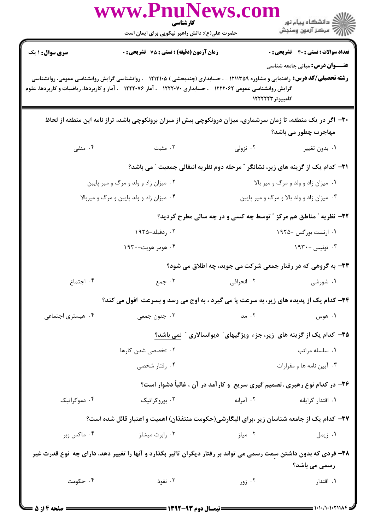|                           | www.PnuNews.com<br>كارشناسي                                                                                                                                                                                                                              |                                     |                                                                                        |
|---------------------------|----------------------------------------------------------------------------------------------------------------------------------------------------------------------------------------------------------------------------------------------------------|-------------------------------------|----------------------------------------------------------------------------------------|
|                           | حضرت علی(ع): دانش راهبر نیکویی برای ایمان است                                                                                                                                                                                                            |                                     | الان دانشگاه پيام نور<br>الان مرکز آزمون وسنجش                                         |
| سری سوال: ۱ یک            | زمان آزمون (دقیقه) : تستی : 75 ٪ تشریحی : 0                                                                                                                                                                                                              |                                     | <b>تعداد سوالات : تستی : 40 - تشریحی : 0</b>                                           |
|                           | <b>رشته تحصیلی/کد درس:</b> راهنمایی و مشاوره ۱۲۱۱۳۵۹ - ، حسابداری (چندبخشی ) ۱۲۱۴۱۰۵ - ، روانشناسی گرایش روانشناسی عمومی، روانشناسی<br>گرایش روانشناسی عمومی ۱۲۲۲۰۶۲ - ، حسابداری ۱۲۲۲۰۷۰ - ، آمار ۱۲۲۲۰۷۶ - ، آمار و کاربردها، ریاضیات و کاربردها، علوم |                                     | <b>عنـــوان درس:</b> مبانی جامعه شناسی<br>کامپیوتر ۱۲۲۲۲۳                              |
|                           | ۳۰– اگر در یک منطقه، تا زمان سرشماری، میزان درونکوچی بیش از میزان برونکوچی باشد، تراز نامه این منطقه از لحاظ                                                                                                                                             |                                     | مهاجرت چطور می باشد؟                                                                   |
| ۰۴ منفی                   | ۰۳ مثبت                                                                                                                                                                                                                                                  |                                     | ۰۱ بدون تغییر مسلم ۲۰ نزولی <b>۱</b> ۰                                                 |
|                           |                                                                                                                                                                                                                                                          |                                     | <b>۳۱</b> - کدام یک از گزینه های زیر، نشانگر ″مرحله دوم نظریه انتقالی جمعیت ″ می باشد؟ |
|                           | ۰۲ میزان زاد و ولد و مرگ و میر پایین                                                                                                                                                                                                                     | ۰۱ میزان زاد و ولد و مرگ و میر بالا |                                                                                        |
|                           | ۰۴ میزان زاد و ولد پایین و مرگ و میربالا                                                                                                                                                                                                                 |                                     | ۰۳ میزان زاد و ولد بالا و مرگ و میر پایین                                              |
|                           |                                                                                                                                                                                                                                                          |                                     | ۳۲- نظریه ″ مناطق هم مرکز ″ توسط چه کسی و در چه سالی مطرح گردید؟                       |
|                           | ۰۲ ردفیلد-۱۹۲۵                                                                                                                                                                                                                                           |                                     | ۰۱ ارنست بورگس -۱۹۲۵                                                                   |
|                           | ۰۴ هومر هويت-۱۹۳۰                                                                                                                                                                                                                                        |                                     | ۰۳ تونیس -۱۹۳۰                                                                         |
|                           |                                                                                                                                                                                                                                                          |                                     | ۳۳- به گروهی که در رفتار جمعی شرکت می جوید، چه اطلاق می شود؟                           |
| ۰۴ اجتماع                 | ۰۳ جمع                                                                                                                                                                                                                                                   | ۰۲ انحرافی                          | ۰۱ شورشی                                                                               |
|                           | 34- کدام یک از پدیده های زیر، به سرعت پا می گیرد ، به اوج می رسد و بسرعت افول می کند؟                                                                                                                                                                    |                                     |                                                                                        |
| ۰۴ هیستری اجتماعی         | ۰۳ جنون جمعي                                                                                                                                                                                                                                             | ۰۲ مد                               | ۰۱ هوس                                                                                 |
|                           |                                                                                                                                                                                                                                                          |                                     | ۳۵- کدام یک از گزینه های زیر، جزء ویژگیهای ؒ دیوانسالاری ؒ نمی باشد؟                   |
|                           | ۰۲ تخصصی شدن کارها                                                                                                                                                                                                                                       |                                     | ۰۱ سلسله مراتب                                                                         |
|                           | ۰۴ رفتار شخصی                                                                                                                                                                                                                                            |                                     | ۰۳ آیین نامه ها و مقرارات                                                              |
|                           |                                                                                                                                                                                                                                                          |                                     | ۳۶- در کدام نوع رهبری ،تصمیم گیری سریع و کارآمد در آن ، غالباً دشوار است؟              |
| ۰۴ دموکراتیک              | ۰۳ بوروکراتیک                                                                                                                                                                                                                                            | ۰۲ آمرانه                           | ۰۱ اقتدار گرایانه                                                                      |
|                           | ۳۷– کدام یک از جامعه شناسان زیر ،برای الیگارشی(حکومت منتفذان) اهمیت و اعتبار قائل شده است؟                                                                                                                                                               |                                     |                                                                                        |
| ۰۴ ماکس وبر               | ۰۳ رابرت میشلز                                                                                                                                                                                                                                           | ۰۲ میلز                             | ۰۱ زیمل                                                                                |
|                           | ۳۸– فردی که بدون داشتن سمت رسمی می تواند بر رفتار دیگران تاثیر بگذارد و آنها را تغییر دهد، دارای چه  نوع قدرت غیر                                                                                                                                        |                                     | رسمی می باشد؟                                                                          |
| ۰۴ حکومت                  | ۰۳ نفوذ                                                                                                                                                                                                                                                  | ۰۲ زور                              | ۰۱ اقتدار                                                                              |
| $= \Lambda$ :14 asize $=$ |                                                                                                                                                                                                                                                          |                                     | د ۱۰۱۰/۱۰۱۰۲۱۱۸۴ ⇒                                                                     |